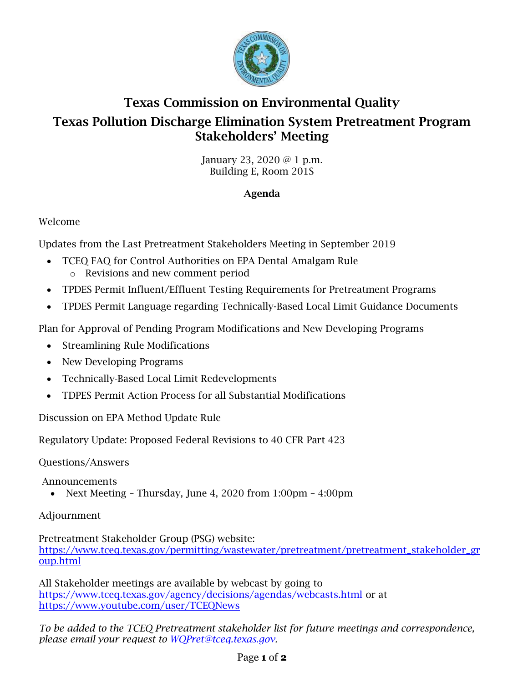

# Texas Commission on Environmental Quality Texas Pollution Discharge Elimination System Pretreatment Program Stakeholders' Meeting

January 23, 2020 @ 1 p.m. Building E, Room 201S

# Agenda

## Welcome

Updates from the Last Pretreatment Stakeholders Meeting in September 2019

- TCEQ FAQ for Control Authorities on EPA Dental Amalgam Rule o Revisions and new comment period
- TPDES Permit Influent/Effluent Testing Requirements for Pretreatment Programs
- TPDES Permit Language regarding Technically-Based Local Limit Guidance Documents

Plan for Approval of Pending Program Modifications and New Developing Programs

- Streamlining Rule Modifications
- New Developing Programs
- Technically-Based Local Limit Redevelopments
- TDPES Permit Action Process for all Substantial Modifications

Discussion on EPA Method Update Rule

Regulatory Update: Proposed Federal Revisions to 40 CFR Part 423

Questions/Answers

Announcements

• Next Meeting – Thursday, June 4, 2020 from 1:00pm – 4:00pm

### Adjournment

Pretreatment Stakeholder Group (PSG) website: [https://www.tceq.texas.gov/permitting/wastewater/pretreatment/pretreatment\\_stakeholder\\_gr](https://www.tceq.texas.gov/permitting/wastewater/pretreatment/pretreatment_stakeholder_group.html) [oup.html](https://www.tceq.texas.gov/permitting/wastewater/pretreatment/pretreatment_stakeholder_group.html)

All Stakeholder meetings are available by webcast by going to <https://www.tceq.texas.gov/agency/decisions/agendas/webcasts.html> or at <https://www.youtube.com/user/TCEQNews>

*To be added to the TCEQ Pretreatment stakeholder list for future meetings and correspondence, please email your request to [WQPret@tceq.texas.gov.](mailto:WQPret@tceq.texas.gov)*